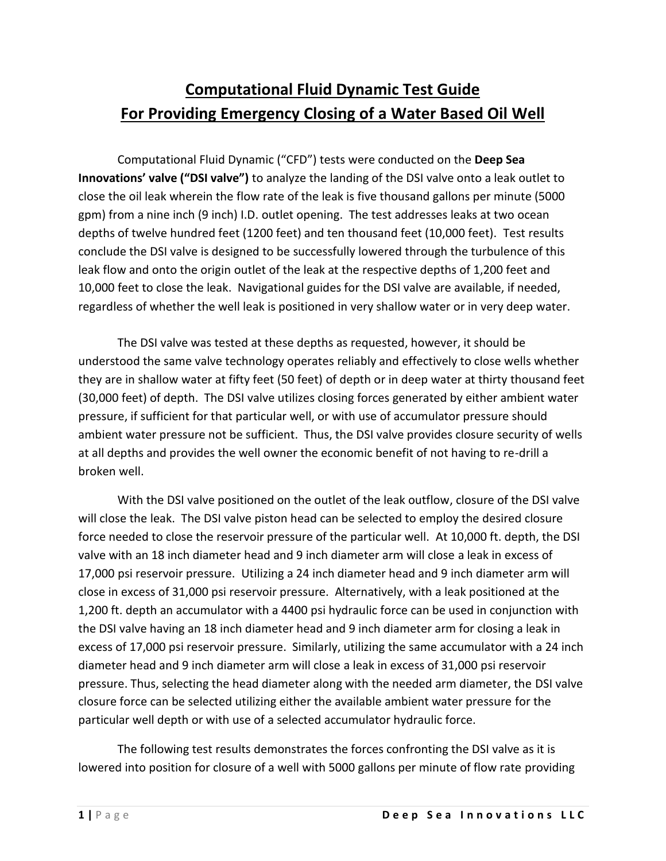# **Computational Fluid Dynamic Test Guide For Providing Emergency Closing of a Water Based Oil Well**

Computational Fluid Dynamic ("CFD") tests were conducted on the **Deep Sea Innovations' valve ("DSI valve")** to analyze the landing of the DSI valve onto a leak outlet to close the oil leak wherein the flow rate of the leak is five thousand gallons per minute (5000 gpm) from a nine inch (9 inch) I.D. outlet opening. The test addresses leaks at two ocean depths of twelve hundred feet (1200 feet) and ten thousand feet (10,000 feet). Test results conclude the DSI valve is designed to be successfully lowered through the turbulence of this leak flow and onto the origin outlet of the leak at the respective depths of 1,200 feet and 10,000 feet to close the leak. Navigational guides for the DSI valve are available, if needed, regardless of whether the well leak is positioned in very shallow water or in very deep water.

The DSI valve was tested at these depths as requested, however, it should be understood the same valve technology operates reliably and effectively to close wells whether they are in shallow water at fifty feet (50 feet) of depth or in deep water at thirty thousand feet (30,000 feet) of depth. The DSI valve utilizes closing forces generated by either ambient water pressure, if sufficient for that particular well, or with use of accumulator pressure should ambient water pressure not be sufficient. Thus, the DSI valve provides closure security of wells at all depths and provides the well owner the economic benefit of not having to re-drill a broken well.

With the DSI valve positioned on the outlet of the leak outflow, closure of the DSI valve will close the leak. The DSI valve piston head can be selected to employ the desired closure force needed to close the reservoir pressure of the particular well. At 10,000 ft. depth, the DSI valve with an 18 inch diameter head and 9 inch diameter arm will close a leak in excess of 17,000 psi reservoir pressure. Utilizing a 24 inch diameter head and 9 inch diameter arm will close in excess of 31,000 psi reservoir pressure. Alternatively, with a leak positioned at the 1,200 ft. depth an accumulator with a 4400 psi hydraulic force can be used in conjunction with the DSI valve having an 18 inch diameter head and 9 inch diameter arm for closing a leak in excess of 17,000 psi reservoir pressure. Similarly, utilizing the same accumulator with a 24 inch diameter head and 9 inch diameter arm will close a leak in excess of 31,000 psi reservoir pressure. Thus, selecting the head diameter along with the needed arm diameter, the DSI valve closure force can be selected utilizing either the available ambient water pressure for the particular well depth or with use of a selected accumulator hydraulic force.

The following test results demonstrates the forces confronting the DSI valve as it is lowered into position for closure of a well with 5000 gallons per minute of flow rate providing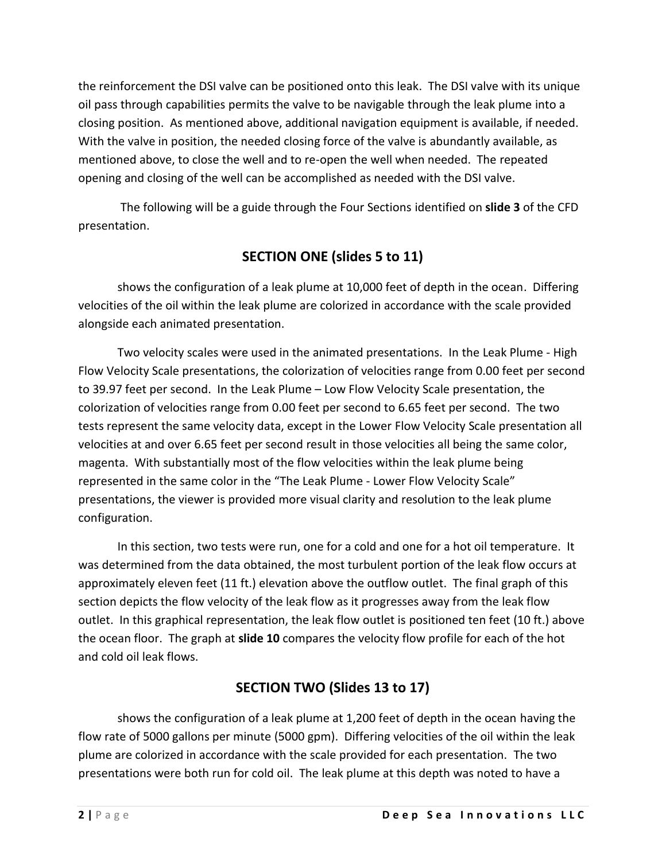the reinforcement the DSI valve can be positioned onto this leak. The DSI valve with its unique oil pass through capabilities permits the valve to be navigable through the leak plume into a closing position. As mentioned above, additional navigation equipment is available, if needed. With the valve in position, the needed closing force of the valve is abundantly available, as mentioned above, to close the well and to re-open the well when needed. The repeated opening and closing of the well can be accomplished as needed with the DSI valve.

The following will be a guide through the Four Sections identified on **slide 3** of the CFD presentation.

## **SECTION ONE (slides 5 to 11)**

shows the configuration of a leak plume at 10,000 feet of depth in the ocean. Differing velocities of the oil within the leak plume are colorized in accordance with the scale provided alongside each animated presentation.

Two velocity scales were used in the animated presentations. In the Leak Plume - High Flow Velocity Scale presentations, the colorization of velocities range from 0.00 feet per second to 39.97 feet per second. In the Leak Plume – Low Flow Velocity Scale presentation, the colorization of velocities range from 0.00 feet per second to 6.65 feet per second. The two tests represent the same velocity data, except in the Lower Flow Velocity Scale presentation all velocities at and over 6.65 feet per second result in those velocities all being the same color, magenta. With substantially most of the flow velocities within the leak plume being represented in the same color in the "The Leak Plume - Lower Flow Velocity Scale" presentations, the viewer is provided more visual clarity and resolution to the leak plume configuration.

In this section, two tests were run, one for a cold and one for a hot oil temperature. It was determined from the data obtained, the most turbulent portion of the leak flow occurs at approximately eleven feet (11 ft.) elevation above the outflow outlet. The final graph of this section depicts the flow velocity of the leak flow as it progresses away from the leak flow outlet. In this graphical representation, the leak flow outlet is positioned ten feet (10 ft.) above the ocean floor. The graph at **slide 10** compares the velocity flow profile for each of the hot and cold oil leak flows.

### **SECTION TWO (Slides 13 to 17)**

shows the configuration of a leak plume at 1,200 feet of depth in the ocean having the flow rate of 5000 gallons per minute (5000 gpm). Differing velocities of the oil within the leak plume are colorized in accordance with the scale provided for each presentation. The two presentations were both run for cold oil. The leak plume at this depth was noted to have a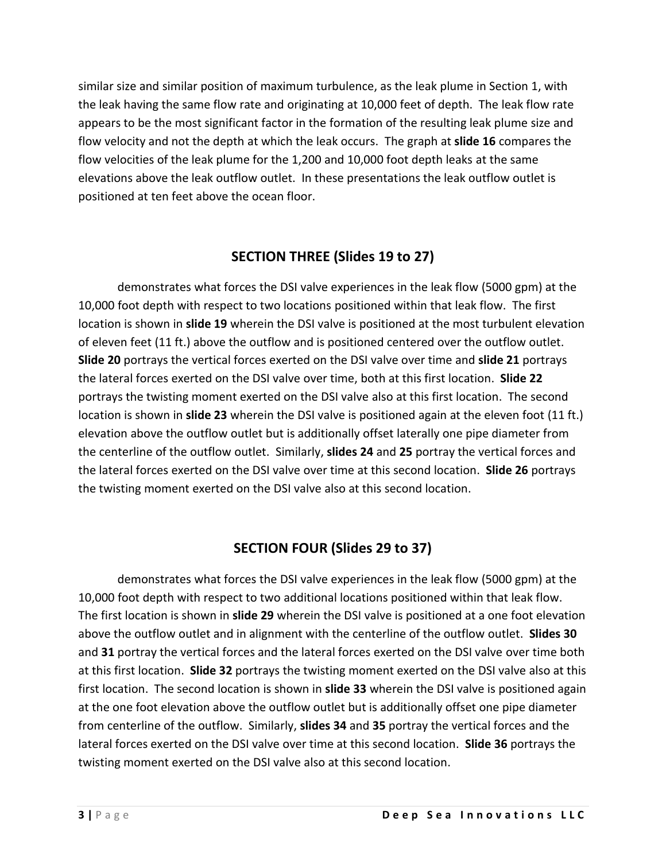similar size and similar position of maximum turbulence, as the leak plume in Section 1, with the leak having the same flow rate and originating at 10,000 feet of depth. The leak flow rate appears to be the most significant factor in the formation of the resulting leak plume size and flow velocity and not the depth at which the leak occurs. The graph at **slide 16** compares the flow velocities of the leak plume for the 1,200 and 10,000 foot depth leaks at the same elevations above the leak outflow outlet. In these presentations the leak outflow outlet is positioned at ten feet above the ocean floor.

#### **SECTION THREE (Slides 19 to 27)**

demonstrates what forces the DSI valve experiences in the leak flow (5000 gpm) at the 10,000 foot depth with respect to two locations positioned within that leak flow. The first location is shown in **slide 19** wherein the DSI valve is positioned at the most turbulent elevation of eleven feet (11 ft.) above the outflow and is positioned centered over the outflow outlet. **Slide 20** portrays the vertical forces exerted on the DSI valve over time and **slide 21** portrays the lateral forces exerted on the DSI valve over time, both at this first location. **Slide 22** portrays the twisting moment exerted on the DSI valve also at this first location. The second location is shown in **slide 23** wherein the DSI valve is positioned again at the eleven foot (11 ft.) elevation above the outflow outlet but is additionally offset laterally one pipe diameter from the centerline of the outflow outlet. Similarly, **slides 24** and **25** portray the vertical forces and the lateral forces exerted on the DSI valve over time at this second location. **Slide 26** portrays the twisting moment exerted on the DSI valve also at this second location.

#### **SECTION FOUR (Slides 29 to 37)**

demonstrates what forces the DSI valve experiences in the leak flow (5000 gpm) at the 10,000 foot depth with respect to two additional locations positioned within that leak flow. The first location is shown in **slide 29** wherein the DSI valve is positioned at a one foot elevation above the outflow outlet and in alignment with the centerline of the outflow outlet. **Slides 30** and **31** portray the vertical forces and the lateral forces exerted on the DSI valve over time both at this first location. **Slide 32** portrays the twisting moment exerted on the DSI valve also at this first location. The second location is shown in **slide 33** wherein the DSI valve is positioned again at the one foot elevation above the outflow outlet but is additionally offset one pipe diameter from centerline of the outflow. Similarly, **slides 34** and **35** portray the vertical forces and the lateral forces exerted on the DSI valve over time at this second location. **Slide 36** portrays the twisting moment exerted on the DSI valve also at this second location.